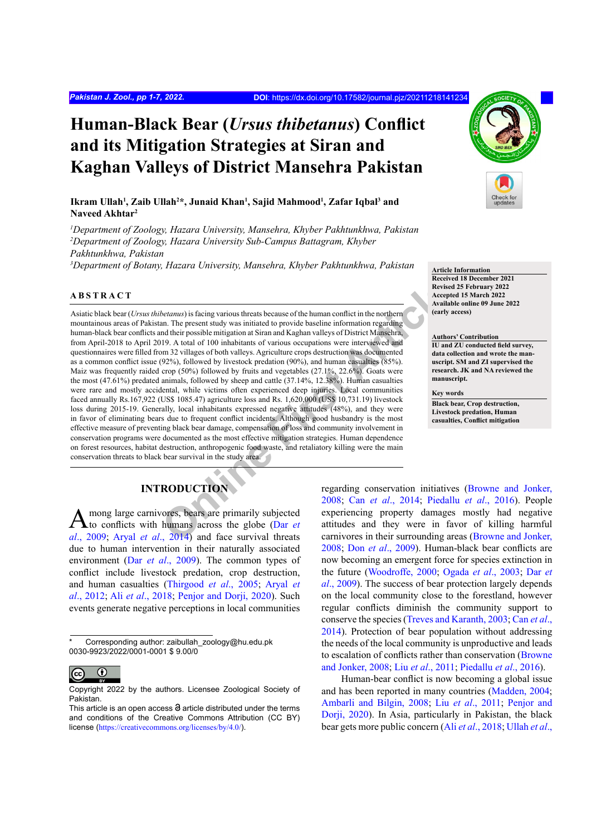# **Human-Black Bear (***Ursus thibetanus***) Conflict and its Mitigation Strategies at Siran and Kaghan Valleys of District Mansehra Pakistan**

### **Ikram Ullah<sup>1</sup> , Zaib Ullah<sup>2</sup> \*, Junaid Khan<sup>1</sup> , Sajid Mahmood<sup>1</sup> , Zafar Iqbal<sup>3</sup> and Naveed Akhtar<sup>2</sup>**

*1 Department of Zoology, Hazara University, Mansehra, Khyber Pakhtunkhwa, Pakistan 2 Department of Zoology, Hazara University Sub-Campus Battagram, Khyber Pakhtunkhwa, Pakistan* 

<sup>3</sup>Department of Botany, Hazara University, Mansehra, Khyber Pakhtunkhwa, Pakistan**n article Information** 

#### **ABSTRACT**

**[O](#page-5-1)nline First Article** Asiatic black bear (*Ursus thibetanus*) is facing various threats because of the human conflict in the northern mountainous areas of Pakistan. The present study was initiated to provide baseline information regarding human-black bear conflicts and their possible mitigation at Siran and Kaghan valleys of District Mansehra, from April-2018 to April 2019. A total of 100 inhabitants of various occupations were interviewed and questionnaires were filled from 32 villages of both valleys. Agriculture crops destruction was documented as a common conflict issue (92%), followed by livestock predation (90%), and human casualties (85%). Maiz was frequently raided crop (50%) followed by fruits and vegetables (27.1%, 22.6%). Goats were the most (47.61%) predated animals, followed by sheep and cattle (37.14%, 12.38%). Human casualties were rare and mostly accidental, while victims often experienced deep injuries. Local communities faced annually Rs.167,922 (US\$ 1085.47) agriculture loss and Rs. 1,620,000 (US\$ 10,731.19) livestock loss during 2015-19. Generally, local inhabitants expressed negative attitudes (48%), and they were in favor of eliminating bears due to frequent conflict incidents. Although good husbandry is the most effective measure of preventing black bear damage, compensation of loss and community involvement in conservation programs were documented as the most effective mitigation strategies. Human dependence on forest resources, habitat destruction, anthropogenic food waste, and retaliatory killing were the main conservation threats to black bear survival in the study area.

# **INTRODUCTION**

Among large carnivores, bears are primarily subjected to conflicts with humans across the globe (Dar *et*) *al*[., 2009](#page-5-0); Aryal *et al*., 2014) and face survival threats due to human intervention in their naturally associated environment (Dar *et al*[., 2009](#page-5-0)). The common types of conflict include livestock predation, crop destruction, and human casualties [\(Thirgood](#page-6-0) *et al*., 2005; [Aryal](#page-5-2) *et al*[., 2012](#page-5-2); Ali *et al*[., 2018](#page-5-3); [Penjor and Dorji, 2020](#page-6-1)). Such events generate negative perceptions in local communities



**Received 18 December 2021 Revised 25 February 2022 Accepted 15 March 2022 Available online 09 June 2022 (early access)**

#### **Authors' Contribution**

**IU and ZU conducted field survey, data collection and wrote the manuscript. SM and ZI supervised the research. JK and NA reviewed the manuscript.**

**Key words Black bear, Crop destruction,** 

**Livestock predation, Human casualties, Conflict mitigation**

regarding conservation initiatives ([Browne and Jonker,](#page-5-4) 2008; Can *et al*., 2014; [Piedallu](#page-6-2) *et al*., 2016). People experiencing property damages mostly had negative attitudes and they were in favor of killing harmful carnivores in their surrounding areas ([Browne and Jonker,](#page-5-4) [2008;](#page-5-4) Don *et al*[., 2009](#page-5-6)). Human-black bear conflicts are now becoming an emergent force for species extinction in the future ([Woodroffe, 2000](#page-6-3); Ogada *et al*[., 2003](#page-6-4); [Dar](#page-5-0) *et al*[., 2009](#page-5-0)). The success of bear protection largely depends on the local community close to the forestland, however regular conflicts diminish the community support to conserve the species ([Treves and Karanth, 2003](#page-6-5); [Can](#page-5-5) *et al*., [2014\)](#page-5-5). Protection of bear population without addressing the needs of the local community is unproductive and leads to escalation of conflicts rather than conservation ([Browne](#page-5-4) [and Jonker, 2008](#page-5-4); Liu *et al*[., 2011](#page-5-7); [Piedallu](#page-6-2) *et al*., 2016).

Human-bear conflict is now becoming a global issue and has been reported in many countries ([Madden, 2004](#page-5-8); [Ambarli and Bilgin, 2008](#page-5-9); Liu *et al*., [2011;](#page-5-7) [Penjor and](#page-6-1) [Dorji, 2020](#page-6-1)). In Asia, particularly in Pakistan, the black bear gets more public concern (Ali *et al*[., 2018](#page-5-3); [Ullah](#page-6-6) *et al*.,

Corresponding author: zaibullah\_zoology@hu.edu.pk 0030-9923/2022/0001-0001 \$ 9.00/0

 $\mathbf \Theta$ (cc

Copyright 2022 by the authors. Licensee Zoological Society of Pakistan.

This article is an open access  $\Theta$  article distributed under the terms and conditions of the Creative Commons Attribution (CC BY) license (<https://creativecommons.org/licenses/by/4.0/>).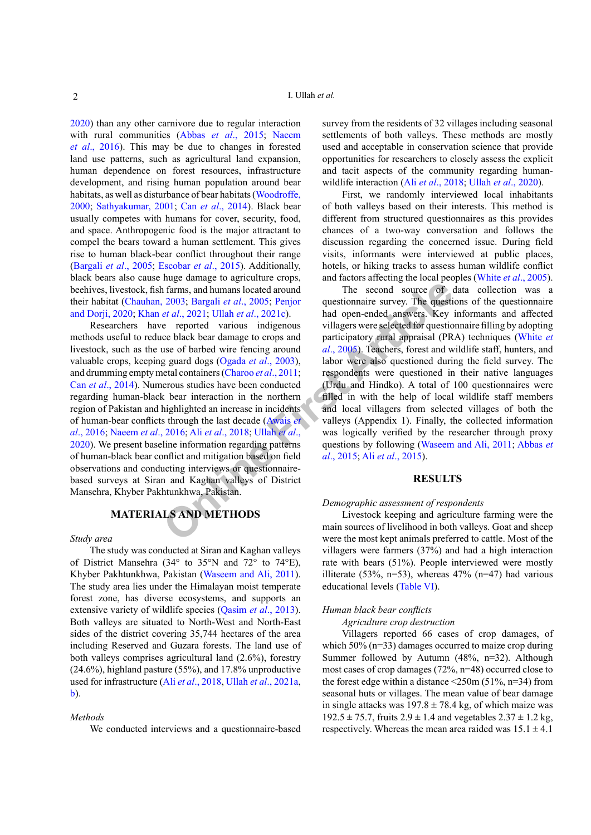[2020\)](#page-6-6) than any other carnivore due to regular interaction with rural communities (Abbas *et al*[., 2015](#page-5-10); [Naeem](#page-5-11) *et al*[., 2016](#page-5-11)). This may be due to changes in forested land use patterns, such as agricultural land expansion, human dependence on forest resources, infrastructure development, and rising human population around bear habitats, as well as disturbance of bear habitats ([Woodroffe,](#page-6-3) [2000;](#page-6-3) [Sathyakumar, 2001](#page-6-7); Can *et al*[., 2014](#page-5-5)). Black bear usually competes with humans for cover, security, food, and space. Anthropogenic food is the major attractant to compel the bears toward a human settlement. This gives rise to human black-bear conflict throughout their range [\(Bargali](#page-5-12) *et al*., 2005; [Escobar](#page-5-13) *et al*., 2015). Additionally, black bears also cause huge damage to agriculture crops, beehives, livestock, fish farms, and humans located around their habitat ([Chauhan, 2003](#page-5-14); Bargali *et al*., 2005; Penjor [and Dorji, 2020](#page-6-1); Khan *et al*., 2021; Ullah *et al*., 2021c).

**Example 19** The second source of example the second source of example and humans located around The second source of example the al., 2005; Penjor and open-ended answers. Key exported various indigenous villagers were sel Researchers have reported various indigenous methods useful to reduce black bear damage to crops and livestock, such as the use of barbed wire fencing around valuable crops, keeping guard dogs (Ogada *et al*., 2003), and drumming empty metal containers (Charoo *et al*., 2011; Can *et al*[., 2014](#page-5-5)). Numerous studies have been conducted regarding human-black bear interaction in the northern region of Pakistan and highlighted an increase in incidents of human-bear conflicts through the last decade (Awais *et al*[., 2016](#page-5-16); Naeem *et al*., 2016; Ali *et al*., 2018; Ullah *et al*., [2020\)](#page-6-6). We present baseline information regarding patterns of human-black bear conflict and mitigation based on field observations and conducting interviews or questionnairebased surveys at Siran and Kaghan valleys of District Mansehra, Khyber Pakhtunkhwa, Pakistan.

# **MATERIALS AND METHODS**

#### *Study area*

The study was conducted at Siran and Kaghan valleys of District Mansehra (34° to 35°N and 72° to 74°E), Khyber Pakhtunkhwa, Pakistan ([Waseem and Ali, 2011](#page-6-9)). The study area lies under the Himalayan moist temperate forest zone, has diverse ecosystems, and supports an extensive variety of wildlife species ([Qasim](#page-6-10) *et al*., 2013). Both valleys are situated to North-West and North-East sides of the district covering 35,744 hectares of the area including Reserved and Guzara forests. The land use of both valleys comprises agricultural land (2.6%), forestry (24.6%), highland pasture (55%), and 17.8% unproductive used for infrastructure (Ali *et al*[., 2018](#page-5-3), Ullah *et al*[., 2021a,](#page-6-11) [b\)](#page-6-8).

#### *Methods*

We conducted interviews and a questionnaire-based

survey from the residents of 32 villages including seasonal settlements of both valleys. These methods are mostly used and acceptable in conservation science that provide opportunities for researchers to closely assess the explicit and tacit aspects of the community regarding humanwildlife interaction (Ali *et al*[., 2018](#page-5-3); Ullah *et al*[., 2020](#page-6-6)).

First, we randomly interviewed local inhabitants of both valleys based on their interests. This method is different from structured questionnaires as this provides chances of a two-way conversation and follows the discussion regarding the concerned issue. During field visits, informants were interviewed at public places, hotels, or hiking tracks to assess human wildlife conflict and factors affecting the local peoples [\(White](#page-6-12) *et al*., 2005).

The second source of data collection was a questionnaire survey. The questions of the questionnaire had open-ended answers. Key informants and affected villagers were selected for questionnaire filling by adopting participatory rural appraisal (PRA) techniques ([White](#page-6-12) *et al*., 2005). Teachers, forest and wildlife staff, hunters, and labor were also questioned during the field survey. The respondents were questioned in their native languages (Urdu and Hindko). A total of 100 questionnaires were filled in with the help of local wildlife staff members and local villagers from selected villages of both the valleys (Appendix 1). Finally, the collected information was logically verified by the researcher through proxy questions by following ([Waseem and Ali, 2011](#page-6-9); [Abbas](#page-5-10) *et al*., 2015; Ali *et al*., 2015).

#### **RESULTS**

#### *Demographic assessment of respondents*

Livestock keeping and agriculture farming were the main sources of livelihood in both valleys. Goat and sheep were the most kept animals preferred to cattle. Most of the villagers were farmers (37%) and had a high interaction rate with bears (51%). People interviewed were mostly illiterate (53%, n=53), whereas  $47%$  (n=47) had various educational levels ([Table VI](#page-4-0)).

#### *Human black bear conflicts*

*Agriculture crop destruction*

Villagers reported 66 cases of crop damages, of which 50% (n=33) damages occurred to maize crop during Summer followed by Autumn (48%, n=32). Although most cases of crop damages (72%, n=48) occurred close to the forest edge within a distance  $\leq$  250m (51%, n=34) from seasonal huts or villages. The mean value of bear damage in single attacks was  $197.8 \pm 78.4$  kg, of which maize was  $192.5 \pm 75.7$ , fruits  $2.9 \pm 1.4$  and vegetables  $2.37 \pm 1.2$  kg, respectively. Whereas the mean area raided was  $15.1 \pm 4.1$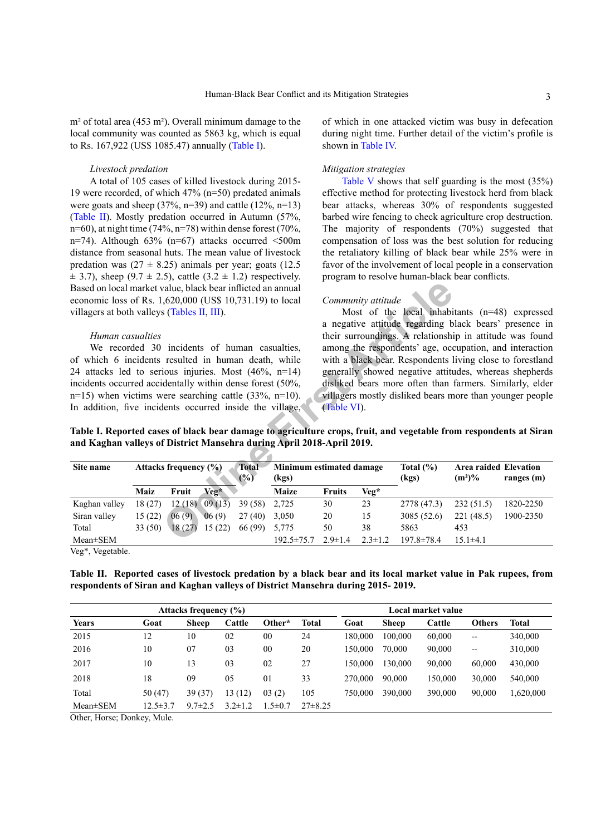m² of total area (453 m²). Overall minimum damage to the local community was counted as 5863 kg, which is equal to Rs. 167,922 (US\$ 1085.47) annually ([Table](#page-2-0) I).

#### *Livestock predation*

A total of 105 cases of killed livestock during 2015- 19 were recorded, of which 47% (n=50) predated animals were goats and sheep  $(37\%, n=39)$  and cattle  $(12\%, n=13)$ [\(Table II](#page-2-1)). Mostly predation occurred in Autumn (57%, n=60), at night time (74%, n=78) within dense forest (70%, n=74). Although  $63\%$  (n=67) attacks occurred  $\leq 500$ m distance from seasonal huts. The mean value of livestock predation was  $(27 \pm 8.25)$  animals per year; goats  $(12.5$  $\pm$  3.7), sheep (9.7  $\pm$  2.5), cattle (3.2  $\pm$  1.2) respectively. Based on local market value, black bear inflicted an annual economic loss of Rs. 1,620,000 (US\$ 10,731.19) to local villagers at both valleys (Tables II, III).

#### <span id="page-2-0"></span>*Human casualties*

of which in one attacked victim was busy in defecation during night time. Further detail of the victim's profile is shown in [Table IV](#page-3-1).

#### *Mitigation strategies*

[Table V](#page-4-1) shows that self guarding is the most (35%) effective method for protecting livestock herd from black bear attacks, whereas 30% of respondents suggested barbed wire fencing to check agriculture crop destruction. The majority of respondents (70%) suggested that compensation of loss was the best solution for reducing the retaliatory killing of black bear while 25% were in favor of the involvement of local people in a conservation program to resolve human-black bear conflicts.

#### *Community attitude*

| Based on local market value, black bear inflicted an annual<br>economic loss of Rs. 1,620,000 (US\$ 10,731.19) to local<br>villagers at both valleys (Tables II, III).<br>Human casualties<br>We recorded 30 incidents of human casualties,<br>of which 6 incidents resulted in human death, while<br>24 attacks led to serious injuries. Most $(46\%, n=14)$<br>incidents occurred accidentally within dense forest (50%,<br>$n=15$ ) when victims were searching cattle (33%, $n=10$ ).<br>In addition, five incidents occurred inside the village,<br>Table I. Reported cases of black bear damage to agriculture crops, fruit, and vegetable from respondents at Siran<br>and Kaghan valleys of District Mansehra during April 2018-April 2019. |         |                           |         |                        |                                   | (Table VI).   | Community attitude | Most of the local inhabitants $(n=48)$ expressed<br>a negative attitude regarding black bears' presence in<br>their surroundings. A relationship in attitude was found<br>among the respondents' age, occupation, and interaction<br>with a black bear. Respondents living close to forestland<br>generally showed negative attitudes, whereas shepherds<br>disliked bears more often than farmers. Similarly, elder<br>villagers mostly disliked bears more than younger people |                                    |              |
|-----------------------------------------------------------------------------------------------------------------------------------------------------------------------------------------------------------------------------------------------------------------------------------------------------------------------------------------------------------------------------------------------------------------------------------------------------------------------------------------------------------------------------------------------------------------------------------------------------------------------------------------------------------------------------------------------------------------------------------------------------|---------|---------------------------|---------|------------------------|-----------------------------------|---------------|--------------------|----------------------------------------------------------------------------------------------------------------------------------------------------------------------------------------------------------------------------------------------------------------------------------------------------------------------------------------------------------------------------------------------------------------------------------------------------------------------------------|------------------------------------|--------------|
| Site name                                                                                                                                                                                                                                                                                                                                                                                                                                                                                                                                                                                                                                                                                                                                           |         | Attacks frequency $(\% )$ |         | <b>Total</b><br>$(\%)$ | Minimum estimated damage<br>(kgs) |               |                    | Total $(\% )$<br>(kgs)                                                                                                                                                                                                                                                                                                                                                                                                                                                           | Area raided Elevation<br>$(m^2)\%$ | ranges $(m)$ |
|                                                                                                                                                                                                                                                                                                                                                                                                                                                                                                                                                                                                                                                                                                                                                     | Maiz    | Fruit                     | $Veg^*$ |                        | <b>Maize</b>                      | <b>Fruits</b> | Veg*               |                                                                                                                                                                                                                                                                                                                                                                                                                                                                                  |                                    |              |
| Kaghan valley                                                                                                                                                                                                                                                                                                                                                                                                                                                                                                                                                                                                                                                                                                                                       | 18(27)  | 12(18)                    | 09(13)  | 39 (58)                | 2,725                             | 30            | 23                 | 2778 (47.3)                                                                                                                                                                                                                                                                                                                                                                                                                                                                      | 232(51.5)                          | 1820-2250    |
| Siran valley                                                                                                                                                                                                                                                                                                                                                                                                                                                                                                                                                                                                                                                                                                                                        | 15(22)  | 06(9)                     | 06(9)   | 27(40)                 | 3,050                             | 20            | 15                 | 3085 (52.6)                                                                                                                                                                                                                                                                                                                                                                                                                                                                      | 221(48.5)                          | 1900-2350    |
| Total                                                                                                                                                                                                                                                                                                                                                                                                                                                                                                                                                                                                                                                                                                                                               | 33 (50) | 18(27)                    | 15(22)  | 66 (99)                | 5,775                             | 50            | 38                 | 5863                                                                                                                                                                                                                                                                                                                                                                                                                                                                             | 453                                |              |
| Mean±SEM                                                                                                                                                                                                                                                                                                                                                                                                                                                                                                                                                                                                                                                                                                                                            |         |                           |         |                        | $192.5 \pm 75.7$                  | $2.9 \pm 1.4$ | $2.3 \pm 1.2$      | $197.8 \pm 78.4$                                                                                                                                                                                                                                                                                                                                                                                                                                                                 | $15.1 \pm 4.1$                     |              |

Veg\*, Vegetable.

<span id="page-2-1"></span>**Table II. Reported cases of livestock predation by a black bear and its local market value in Pak rupees, from respondents of Siran and Kaghan valleys of District Mansehra during 2015- 2019.**

| <b>Attacks frequency (%)</b> |                |               |               |              |              | Local market value |         |         |                   |           |
|------------------------------|----------------|---------------|---------------|--------------|--------------|--------------------|---------|---------|-------------------|-----------|
| <b>Years</b>                 | Goat           | <b>Sheep</b>  | Cattle        | Other*       | <b>Total</b> | Goat               | Sheep   | Cattle  | <b>Others</b>     | Total     |
| 2015                         | 12             | 10            | 02            | 00           | 24           | 180.000            | 100.000 | 60,000  | $\qquad \qquad -$ | 340,000   |
| 2016                         | 10             | 07            | 03            | 00           | 20           | 150,000            | 70.000  | 90,000  | $\qquad \qquad -$ | 310,000   |
| 2017                         | 10             | 13            | 03            | 02           | 27           | 150.000            | 130,000 | 90.000  | 60,000            | 430,000   |
| 2018                         | 18             | 09            | 05            | 01           | 33           | 270,000            | 90,000  | 150,000 | 30,000            | 540,000   |
| Total                        | 50(47)         | 39 (37)       | 13 (12)       | 03(2)        | 105          | 750,000            | 390,000 | 390,000 | 90,000            | 1,620,000 |
| $Mean \pm SEM$               | $12.5 \pm 3.7$ | $9.7 \pm 2.5$ | $3.2 \pm 1.2$ | $.5 \pm 0.7$ | $27\pm8.25$  |                    |         |         |                   |           |

Other, Horse; Donkey, Mule.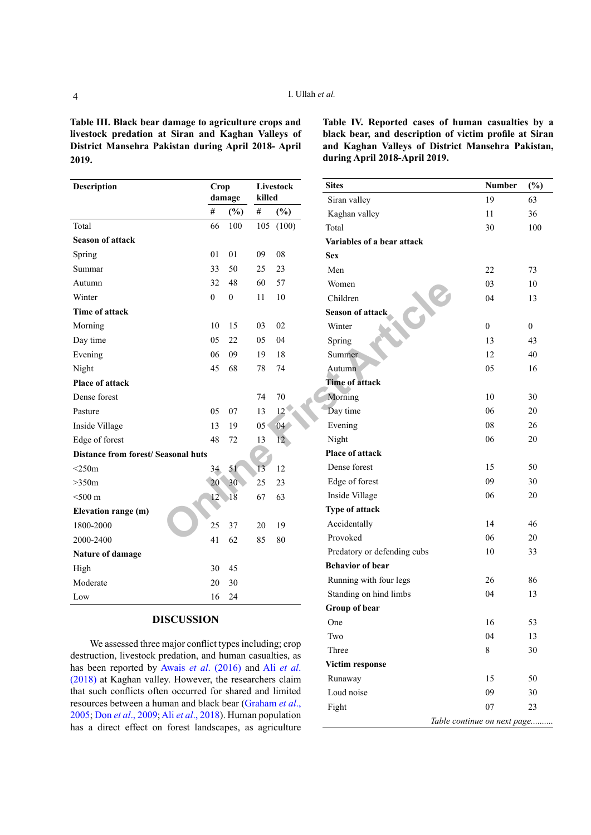<span id="page-3-0"></span>**Table III. Black bear damage to agriculture crops and livestock predation at Siran and Kaghan Valleys of District Mansehra Pakistan during April 2018- April 2019.**

<span id="page-3-1"></span>**Table IV. Reported cases of human casualties by a black bear, and description of victim profile at Siran and Kaghan Valleys of District Mansehra Pakistan, during April 2018-April 2019.**

| <b>Description</b>                         | Crop             |                  | Livestock |                 | <b>Sites</b>                |  |  |
|--------------------------------------------|------------------|------------------|-----------|-----------------|-----------------------------|--|--|
|                                            |                  | damage           | killed    |                 | Siran valley                |  |  |
|                                            | $\#$             | $(\%)$           | $\#$      | $(\%)$          | Kaghan valley               |  |  |
| Total                                      | 66               | 100              |           | 105 (100)       | Total                       |  |  |
| <b>Season of attack</b>                    |                  |                  |           |                 | Variables of a bear attack  |  |  |
| Spring                                     | 01               | 01               | 09        | 08              | <b>Sex</b>                  |  |  |
| Summar                                     | 33               | 50               | 25        | 23              | Men                         |  |  |
| Autumn                                     | 32               | 48               | 60        | 57              | Women                       |  |  |
| Winter                                     | $\boldsymbol{0}$ | $\boldsymbol{0}$ | 11        | 10              | Children                    |  |  |
| Time of attack                             |                  |                  |           |                 | Season of attack            |  |  |
| Morning                                    | 10               | 15               | 03        | 02              | Winter                      |  |  |
| Day time                                   | 05               | 22               | 05        | 04              | Spring                      |  |  |
| Evening                                    | 06               | 09               | 19        | 18              | Summer                      |  |  |
| Night                                      | 45               | 68               | 78        | 74              | Autumn                      |  |  |
| <b>Place of attack</b>                     |                  |                  |           |                 | <b>Time of attack</b>       |  |  |
| Dense forest                               |                  |                  | 74        | 70              | Morning                     |  |  |
| Pasture                                    | 05               | 07               | 13        | 12              | Day time                    |  |  |
| Inside Village                             | 13               | 19               | 05        | 04              | Evening                     |  |  |
| Edge of forest                             | 48               | 72               | 13        | 12 <sup>°</sup> | Night                       |  |  |
| <b>Distance from forest/ Seasonal huts</b> |                  |                  |           |                 | <b>Place of attack</b>      |  |  |
| $<$ 250m                                   | 34               | 51               | 13        | 12              | Dense forest                |  |  |
| >350m                                      | 20 <sup>°</sup>  | 30<              | 25        | 23              | Edge of forest              |  |  |
| $<$ 500 $m$                                | 12               | 18               | 67        | 63              | Inside Village              |  |  |
| Elevation range (m)                        |                  |                  |           |                 | Type of attack              |  |  |
| 1800-2000                                  | 25               | 37               | 20        | 19              | Accidentally                |  |  |
| 2000-2400                                  | 41               | 62               | 85        | 80              | Provoked                    |  |  |
| Nature of damage                           |                  |                  |           |                 | Predatory or defending cubs |  |  |
| High                                       |                  | 45               |           |                 | <b>Behavior of bear</b>     |  |  |
| Moderate                                   | 20               | 30               |           |                 | Running with four legs      |  |  |
| Low                                        | 16               | 24               |           |                 | Standing on hind limbs      |  |  |

## **DISCUSSION**

We assessed three major conflict types including; crop destruction, livestock predation, and human casualties, as has been reported by Awais *et al*[. \(2016\)](#page-5-16) and Ali *[et al](#page-5-3)*. [\(2018\)](#page-5-3) at Kaghan valley. However, the researchers claim that such conflicts often occurred for shared and limited resources between a human and black bear ([Graham](#page-5-17) *et al*., [2005](#page-5-17); Don *et al*., [2009;](#page-5-6) Ali *et al*[., 2018](#page-5-3)). Human population has a direct effect on forest landscapes, as agriculture

| <b>Sites</b>                | Number                      | $(\%)$         |
|-----------------------------|-----------------------------|----------------|
| Siran valley                | 19                          | 63             |
| Kaghan valley               | 11                          | 36             |
| Total                       | 30                          | 100            |
| Variables of a bear attack  |                             |                |
| <b>Sex</b>                  |                             |                |
| Men                         | 22                          | 73             |
| Women                       | 03                          | 10             |
| Children                    | 04                          | 13             |
| <b>Season of attack</b>     |                             |                |
| Winter                      | 0                           | $\overline{0}$ |
| Spring                      | 13                          | 43             |
| <b>Summer</b>               | 12                          | 40             |
| Autumn                      | 05                          | 16             |
| <b>Time of attack</b>       |                             |                |
| Morning                     | 10                          | 30             |
| Day time                    | 06                          | 20             |
| Evening                     | 08                          | 26             |
| Night                       | 06                          | 20             |
| <b>Place of attack</b>      |                             |                |
| Dense forest                | 15                          | 50             |
| Edge of forest              | 09                          | 30             |
| Inside Village              | 06                          | 20             |
| Type of attack              |                             |                |
| Accidentally                | 14                          | 46             |
| Provoked                    | 06                          | 20             |
| Predatory or defending cubs | 10                          | 33             |
| <b>Behavior of bear</b>     |                             |                |
| Running with four legs      | 26                          | 86             |
| Standing on hind limbs      | 04                          | 13             |
| Group of bear               |                             |                |
| One                         | 16                          | 53             |
| Two                         | 04                          | 13             |
| Three                       | 8                           | 30             |
| Victim response             |                             |                |
| Runaway                     | 15                          | 50             |
| Loud noise                  | 09                          | 30             |
| Fight                       | 07                          | 23             |
|                             | Table continue on next page |                |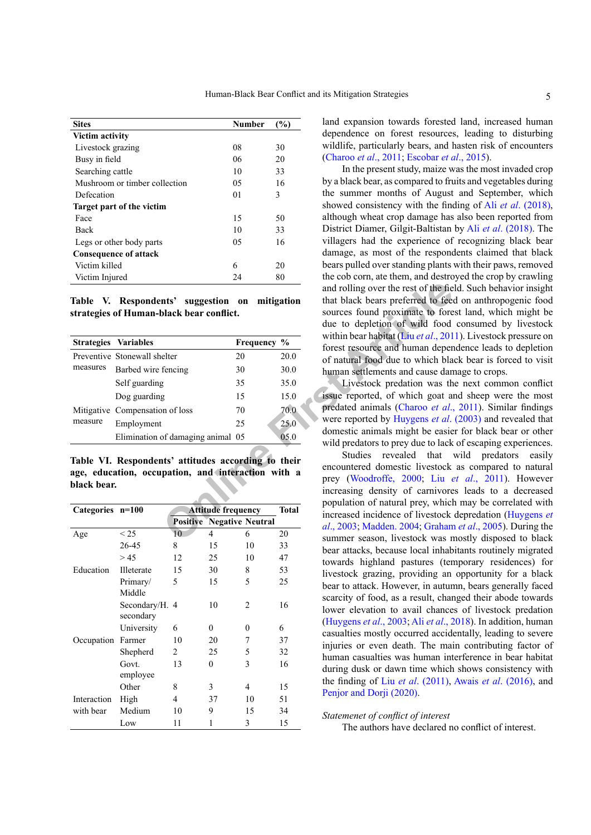| <b>Sites</b>                  | <b>Number</b> | (%) |
|-------------------------------|---------------|-----|
| Victim activity               |               |     |
| Livestock grazing             | 08            | 30  |
| Busy in field                 | 06            | 20  |
| Searching cattle              | 10            | 33  |
| Mushroom or timber collection | 05            | 16  |
| Defecation                    | 01            | 3   |
| Target part of the victim     |               |     |
| Face                          | 15            | 50  |
| Back                          | 10            | 33  |
| Legs or other body parts      | 05            | 16  |
| <b>Consequence of attack</b>  |               |     |
| Victim killed                 | 6             | 20  |
| Victim Injured                | 24            | 80  |

<span id="page-4-1"></span>**Table V. Respondents' suggestion on mitigation strategies of Human-black bear conflict.**

|                  | Table V. Respondents' suggestion on mitigation<br>strategies of Human-black bear conflict.                |    | and rolling over the rest of the fie<br>that black bears preferred to fee<br>sources found proximate to fore<br>due to depletion of wild food |                                                                                                                                                                  |  |
|------------------|-----------------------------------------------------------------------------------------------------------|----|-----------------------------------------------------------------------------------------------------------------------------------------------|------------------------------------------------------------------------------------------------------------------------------------------------------------------|--|
|                  | <b>Strategies Variables</b>                                                                               |    | Frequency %                                                                                                                                   | within bear habitat (Liu et al., 201<br>forest resource and human depen                                                                                          |  |
|                  | Preventive Stonewall shelter                                                                              | 20 | 20.0                                                                                                                                          | of natural food due to which bla                                                                                                                                 |  |
| measures         | Barbed wire fencing                                                                                       | 30 | 30.0                                                                                                                                          | human settlements and cause dan                                                                                                                                  |  |
|                  | Self guarding                                                                                             | 35 | 35.0                                                                                                                                          | Livestock predation was th                                                                                                                                       |  |
|                  | Dog guarding                                                                                              | 15 | 15.0                                                                                                                                          | issue reported, of which goat an                                                                                                                                 |  |
|                  | Mitigative Compensation of loss                                                                           | 70 | 70.0                                                                                                                                          | predated animals (Charoo et al.,                                                                                                                                 |  |
| measure          | Employment                                                                                                | 25 | 25.0                                                                                                                                          | were reported by Huygens et al.                                                                                                                                  |  |
|                  | Elimination of damaging animal 05                                                                         |    | 05.0                                                                                                                                          | domestic animals might be easie                                                                                                                                  |  |
| black bear.      | Table VI. Respondents' attitudes according to their<br>age, education, occupation, and interaction with a |    |                                                                                                                                               | wild predators to prey due to lack<br>Studies revealed that<br>encountered domestic livestock<br>prey (Woodroffe, 2000; Liu e<br>increasing density of carnivore |  |
| Categories n=100 | <b>Attitude frequency</b><br><b>Positive Negative Neutral</b>                                             |    | <b>Total</b>                                                                                                                                  | population of natural prey, which<br>increased incidence of livestock<br>al., 2003; Madden. 2004; Graham                                                         |  |
| Age              | < 25<br>10<br>4                                                                                           | 6  | 20                                                                                                                                            | summer season, livestock was n                                                                                                                                   |  |

<span id="page-4-0"></span>**Table VI. Respondents' attitudes according to their age, education, occupation, and interaction with a black bear.**

| Categories n=100 |                             | <b>Attitude frequency</b> | <b>Total</b>            |    |    |
|------------------|-----------------------------|---------------------------|-------------------------|----|----|
|                  |                             | <b>Positive</b>           | <b>Negative Neutral</b> |    |    |
| Age              | < 25                        | 10                        | 4                       | 6  | 20 |
|                  | 26-45                       | 8                         | 15                      | 10 | 33 |
|                  | > 45                        | 12                        | 25                      | 10 | 47 |
| Education        | Illeterate                  | 15                        | 30                      | 8  | 53 |
|                  | Primary/<br>Middle          | 5                         | 15                      | 5  | 25 |
|                  | Secondary/H. 4<br>secondary |                           | 10                      | 2  | 16 |
|                  | University                  | 6                         | 0                       | 0  | 6  |
| Occupation       | Farmer                      | 10                        | 20                      | 7  | 37 |
|                  | Shepherd                    | 2                         | 25                      | 5  | 32 |
|                  | Govt.<br>employee           | 13                        | $\theta$                | 3  | 16 |
|                  | Other                       | 8                         | 3                       | 4  | 15 |
| Interaction      | High                        | 4                         | 37                      | 10 | 51 |
| with bear        | Medium                      | 10                        | 9                       | 15 | 34 |
|                  | Low                         | 11                        | 1                       | 3  | 15 |

land expansion towards forested land, increased human dependence on forest resources, leading to disturbing wildlife, particularly bears, and hasten risk of encounters [\(Charoo](#page-5-15) *et al*., 2011; [Escobar](#page-5-13) *et al*., 2015).

In the present study, maize was the most invaded crop by a black bear, as compared to fruits and vegetables during the summer months of August and September, which showed consistency with the finding of Ali *et al*[. \(2018\)](#page-5-3), although wheat crop damage has also been reported from District Diamer, Gilgit-Baltistan by Ali *et al*[. \(2018\)](#page-5-3). The villagers had the experience of recognizing black bear damage, as most of the respondents claimed that black bears pulled over standing plants with their paws, removed the cob corn, ate them, and destroyed the crop by crawling and rolling over the rest of the field. Such behavior insight that black bears preferred to feed on anthropogenic food sources found proximate to forest land, which might be due to depletion of wild food consumed by livestock within bear habitat (Liu *et al*., 2011). Livestock pressure on forest resource and human dependence leads to depletion of natural food due to which black bear is forced to visit human settlements and cause damage to crops.

Livestock predation was the next common conflict issue reported, of which goat and sheep were the most predated animals (Charoo *et al*., 2011). Similar findings were reported by Huygens *et al*. (2003) and revealed that domestic animals might be easier for black bear or other wild predators to prey due to lack of escaping experiences.

Studies revealed that wild predators easily encountered domestic livestock as compared to natural prey (Woodroffe, 2000; Liu *et al*., 2011). However increasing density of carnivores leads to a decreased population of natural prey, which may be correlated with increased incidence of livestock depredation ([Huygens](#page-5-18) *et al*., 2003; Madden. 2004; Graham *et al*., 2005). During the summer season, livestock was mostly disposed to black bear attacks, because local inhabitants routinely migrated towards highland pastures (temporary residences) for livestock grazing, providing an opportunity for a black bear to attack. However, in autumn, bears generally faced scarcity of food, as a result, changed their abode towards lower elevation to avail chances of livestock predation ([Huygens](#page-5-18) *et al*., 2003; Ali *et al*[., 2018\)](#page-5-3). In addition, human casualties mostly occurred accidentally, leading to severe injuries or even death. The main contributing factor of human casualties was human interference in bear habitat during dusk or dawn time which shows consistency with the finding of Liu *et al*[. \(2011\)](#page-5-7), Awais *et al*[. \(2016\),](#page-5-16) and Penjor and Dorii (2020).

*Statemenet of conflict of interest*

The authors have declared no conflict of interest.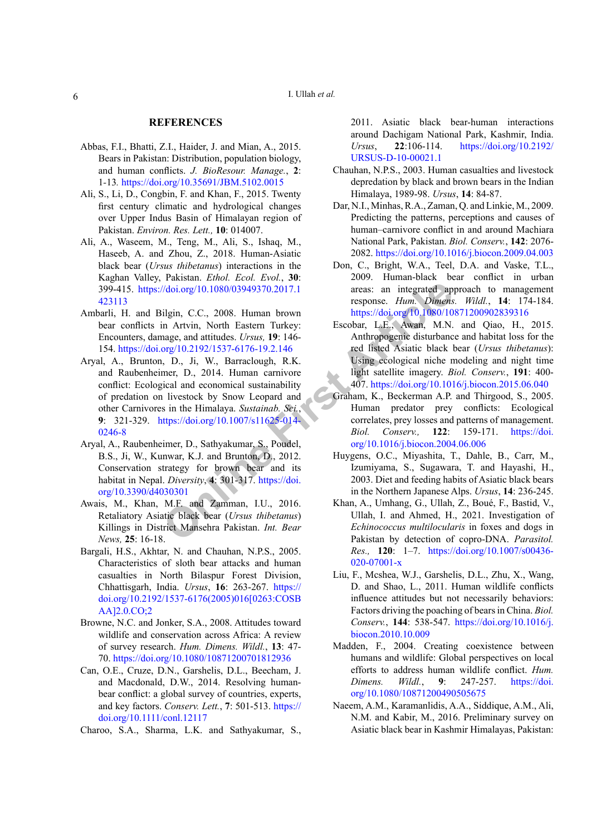#### **REFERENCES**

- <span id="page-5-10"></span>Abbas, F.I., Bhatti, Z.I., Haider, J. and Mian, A., 2015. Bears in Pakistan: Distribution, population biology, and human conflicts. *J. BioResour. Manage.*, **2**: 1*-*13*.* <https://doi.org/10.35691/JBM.5102.0015>
- Ali, S., Li, D., Congbin, F. and Khan, F., 2015. Twenty first century climatic and hydrological changes over Upper Indus Basin of Himalayan region of Pakistan. *Environ. Res. Lett.,* **10**: 014007.
- <span id="page-5-3"></span>Ali, A., Waseem, M., Teng, M., Ali, S., Ishaq, M., Haseeb, A. and Zhou, Z., 2018. Human-Asiatic black bear (*Ursus thibetanus*) interactions in the Kaghan Valley, Pakistan. *Ethol. Ecol. Evol.*, **30**: 399-415. https://doi.org/10.1080/03949370.2017.1 [423113](https://doi.org/10.1080/03949370.2017.1423113)
- <span id="page-5-9"></span><span id="page-5-1"></span>Ambarli, H. and Bilgin, C.C., 2008. Human brown bear conflicts in Artvin, North Eastern Turkey: Encounters, damage, and attitudes. *Ursus,* **19**: 146- 154.<https://doi.org/10.2192/1537-6176-19.2.146>
- Volting: (Volting: 10.1080/03949370.2017.1<br> **Online Article**<br>
In Articles. Under the University of the Mathematical Change, and attitudes. Ursus, 19: H46-<br>
In Article Articles. Ursus, 19: 1466 Articles. Ursus, M.N.<br>
In Art Aryal, A., Brunton, D., Ji, W., Barraclough, R.K. and Raubenheimer, D., 2014. Human carnivore conflict: Ecological and economical sustainability of predation on livestock by Snow Leopard and other Carnivores in the Himalaya. *Sustainab. Sci.*, **9**: 321-329. https://doi.org/10.1007/s11625-014- [0246-8](https://doi.org/10.1007/s11625-014-0246-8)
- <span id="page-5-2"></span>Aryal, A., Raubenheimer, D., Sathyakumar, S., Poudel, B.S., Ji, W., Kunwar, K.J. and Brunton, D., 2012. Conservation strategy for brown bear and its habitat in Nepal. *Diversity*, **4**: 301-317. https://doi. [org/10.3390/d4030301](https://doi.org/10.3390/d4030301)
- <span id="page-5-16"></span>Awais, M., Khan, M.F. and Zamman, I.U., 2016. Retaliatory Asiatic black bear (*Ursus thibetanus*) Killings in District Mansehra Pakistan. *Int. Bear News,* **25**: 16-18.
- <span id="page-5-12"></span>Bargali, H.S., Akhtar, N. and Chauhan, N.P.S., 2005. Characteristics of sloth bear attacks and human casualties in North Bilaspur Forest Division, Chhattisgarh, India. *Ursus*, **16**: 263-267. [https://](https://doi.org/10.2192/1537-6176(2005)016%5b0263:COSBAA%5d2.0.CO;2) [doi.org/10.2192/1537-6176\(2005\)016\[0263:COSB](https://doi.org/10.2192/1537-6176(2005)016%5b0263:COSBAA%5d2.0.CO;2) [AA\]2.0.CO;2](https://doi.org/10.2192/1537-6176(2005)016%5b0263:COSBAA%5d2.0.CO;2)
- <span id="page-5-4"></span>Browne, N.C. and Jonker, S.A., 2008. Attitudes toward wildlife and conservation across Africa: A review of survey research. *Hum. Dimens. Wildl.*, **13**: 47- 70.<https://doi.org/10.1080/10871200701812936>
- <span id="page-5-5"></span>Can, O.E., Cruze, D.N., Garshelis, D.L., Beecham, J. and Macdonald, D.W., 2014. Resolving humanbear conflict: a global survey of countries, experts, and key factors. *Conserv. Lett.*, **7**: 501-513. [https://](https://doi.org/10.1111/conl.12117) [doi.org/10.1111/conl.12117](https://doi.org/10.1111/conl.12117)

<span id="page-5-15"></span>Charoo, S.A., Sharma, L.K. and Sathyakumar, S.,

2011. Asiatic black bear-human interactions around Dachigam National Park, Kashmir, India. *Ursus*, **22**:106-114. [https://doi.org/10.2192/](https://doi.org/10.2192/URSUS-D-10-00021.1) [URSUS-D-10-00021.1](https://doi.org/10.2192/URSUS-D-10-00021.1)

- <span id="page-5-14"></span>Chauhan, N.P.S., 2003. Human casualties and livestock depredation by black and brown bears in the Indian Himalaya, 1989-98. *Ursus*, **14**: 84-87.
- <span id="page-5-0"></span>Dar, N.I., Minhas, R.A., Zaman, Q. and Linkie, M., 2009. Predicting the patterns, perceptions and causes of human–carnivore conflict in and around Machiara National Park, Pakistan. *Biol. Conserv.*, **142**: 2076- 2082. <https://doi.org/10.1016/j.biocon.2009.04.003>
- <span id="page-5-6"></span>Don, C., Bright, W.A., Teel, D.A. and Vaske, T.L., 2009. Human-black bear conflict in urban areas: an integrated approach to management response. *Hum. Dimens. Wildl.*, **14**: 174-184. <https://doi.org/10.1080/10871200902839316>
- <span id="page-5-13"></span>Escobar, L.E., Awan, M.N. and Qiao, H., 2015. Anthropogenic disturbance and habitat loss for the red listed Asiatic black bear (*Ursus thibetanus*): Using ecological niche modeling and night time light satellite imagery. *Biol. Conserv.*, **191**: 400- 407.<https://doi.org/10.1016/j.biocon.2015.06.040>
- <span id="page-5-17"></span>Graham, K., Beckerman A.P. and Thirgood, S., 2005. Human predator prey conflicts: Ecological correlates, prey losses and patterns of management. *Biol. Conserv.,* **122**: 159-171. [https://doi.](https://doi.org/10.1016/j.biocon.2004.06.006) org/10.1016/j.biocon.2004.06.006
- <span id="page-5-18"></span>Huygens, O.C., Miyashita, T., Dahle, B., Carr, M., Izumiyama, S., Sugawara, T. and Hayashi, H., 2003. Diet and feeding habits of Asiatic black bears in the Northern Japanese Alps. *Ursus*, **14**: 236-245.
- Khan, A., Umhang, G., Ullah, Z., Boué, F., Bastid, V., Ullah, I. and Ahmed, H., 2021. Investigation of *Echinococcus multilocularis* in foxes and dogs in Pakistan by detection of copro-DNA. *Parasitol. Res.,* **120**: 1–7. [https://doi.org/10.1007/s00436-](https://doi.org/10.1007/s00436-020-07001-x) [020-07001-x](https://doi.org/10.1007/s00436-020-07001-x)
- <span id="page-5-7"></span>Liu, F., Mcshea, W.J., Garshelis, D.L., Zhu, X., Wang, D. and Shao, L., 2011. Human wildlife conflicts influence attitudes but not necessarily behaviors: Factors driving the poaching of bears in China. *Biol. Conserv.*, **144**: 538-547. [https://doi.org/10.1016/j.](https://doi.org/10.1016/j.biocon.2010.10.009) [biocon.2010.10.009](https://doi.org/10.1016/j.biocon.2010.10.009)
- <span id="page-5-8"></span>Madden, F., 2004. Creating coexistence between humans and wildlife: Global perspectives on local efforts to address human wildlife conflict. *Hum. Dimens. Wildl.*, **9**: 247-257. [https://doi.](https://doi.org/10.1080/10871200490505675) [org/10.1080/10871200490505675](https://doi.org/10.1080/10871200490505675)
- <span id="page-5-11"></span>Naeem, A.M., Karamanlidis, A.A., Siddique, A.M., Ali, N.M. and Kabir, M., 2016. Preliminary survey on Asiatic black bear in Kashmir Himalayas, Pakistan: